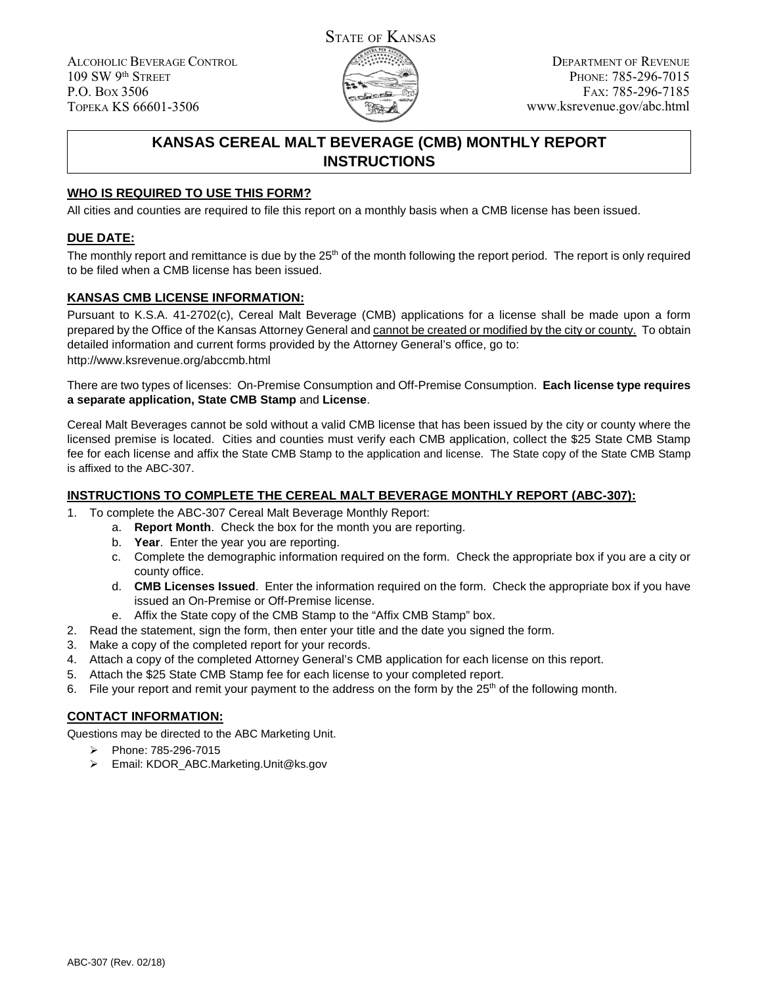ALCOHOLIC BEVERAGE CONTROL 109 SW 9th STREET P.O. BOX 3506 TOPEKA KS 66601-3506



# **KANSAS CEREAL MALT BEVERAGE (CMB) MONTHLY REPORT INSTRUCTIONS**

## **WHO IS REQUIRED TO USE THIS FORM?**

All cities and counties are required to file this report on a monthly basis when a CMB license has been issued.

## **DUE DATE:**

The monthly report and remittance is due by the  $25<sup>th</sup>$  of the month following the report period. The report is only required to be filed when a CMB license has been issued.

## **KANSAS CMB LICENSE INFORMATION:**

Pursuant to K.S.A. 41-2702(c), Cereal Malt Beverage (CMB) applications for a license shall be made upon a form prepared by the Office of the Kansas Attorney General and cannot be created or modified by the city or county. To obtain detailed information and current forms provided by the Attorney General's office, go to: http://www.ksrevenue.org/abccmb.html

There are two types of licenses: On-Premise Consumption and Off-Premise Consumption. **Each license type requires a separate application, State CMB Stamp** and **License**.

Cereal Malt Beverages cannot be sold without a valid CMB license that has been issued by the city or county where the licensed premise is located. Cities and counties must verify each CMB application, collect the \$25 State CMB Stamp fee for each license and affix the State CMB Stamp to the application and license. The State copy of the State CMB Stamp is affixed to the ABC-307.

## **INSTRUCTIONS TO COMPLETE THE CEREAL MALT BEVERAGE MONTHLY REPORT (ABC-307):**

- 1. To complete the ABC-307 Cereal Malt Beverage Monthly Report:
	- a. **Report Month**. Check the box for the month you are reporting.
	- b. **Year**. Enter the year you are reporting.
	- c. Complete the demographic information required on the form. Check the appropriate box if you are a city or county office.
	- d. **CMB Licenses Issued**. Enter the information required on the form. Check the appropriate box if you have issued an On-Premise or Off-Premise license.
	- e. Affix the State copy of the CMB Stamp to the "Affix CMB Stamp" box.
- 2. Read the statement, sign the form, then enter your title and the date you signed the form.
- 3. Make a copy of the completed report for your records.
- 4. Attach a copy of the completed Attorney General's CMB application for each license on this report.
- 5. Attach the \$25 State CMB Stamp fee for each license to your completed report.
- 6. File your report and remit your payment to the address on the form by the  $25<sup>th</sup>$  of the following month.

### **CONTACT INFORMATION:**

Questions may be directed to the ABC Marketing Unit.

- Phone: 785-296-7015
- Email: KDOR\_ABC.Marketing.Unit@ks.gov